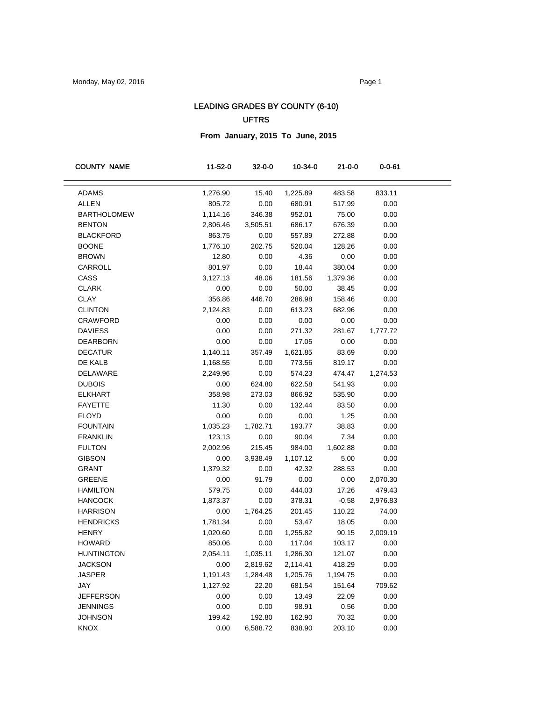## LEADING GRADES BY COUNTY (6-10)

## UFTRS

**From January, 2015 To June, 2015**

| <b>COUNTY NAME</b> | 11-52-0  | $32 - 0 - 0$ | 10-34-0  | $21 - 0 - 0$ | $0 - 0 - 61$ |  |
|--------------------|----------|--------------|----------|--------------|--------------|--|
|                    |          |              |          |              |              |  |
| <b>ADAMS</b>       | 1,276.90 | 15.40        | 1,225.89 | 483.58       | 833.11       |  |
| <b>ALLEN</b>       | 805.72   | 0.00         | 680.91   | 517.99       | 0.00         |  |
| <b>BARTHOLOMEW</b> | 1,114.16 | 346.38       | 952.01   | 75.00        | 0.00         |  |
| <b>BENTON</b>      | 2,806.46 | 3,505.51     | 686.17   | 676.39       | 0.00         |  |
| <b>BLACKFORD</b>   | 863.75   | 0.00         | 557.89   | 272.88       | 0.00         |  |
| <b>BOONE</b>       | 1,776.10 | 202.75       | 520.04   | 128.26       | 0.00         |  |
| <b>BROWN</b>       | 12.80    | 0.00         | 4.36     | 0.00         | 0.00         |  |
| CARROLL            | 801.97   | 0.00         | 18.44    | 380.04       | 0.00         |  |
| CASS               | 3,127.13 | 48.06        | 181.56   | 1,379.36     | 0.00         |  |
| <b>CLARK</b>       | 0.00     | 0.00         | 50.00    | 38.45        | 0.00         |  |
| <b>CLAY</b>        | 356.86   | 446.70       | 286.98   | 158.46       | 0.00         |  |
| <b>CLINTON</b>     | 2,124.83 | 0.00         | 613.23   | 682.96       | 0.00         |  |
| <b>CRAWFORD</b>    | 0.00     | 0.00         | 0.00     | 0.00         | 0.00         |  |
| <b>DAVIESS</b>     | 0.00     | 0.00         | 271.32   | 281.67       | 1,777.72     |  |
| <b>DEARBORN</b>    | 0.00     | 0.00         | 17.05    | 0.00         | 0.00         |  |
| <b>DECATUR</b>     | 1,140.11 | 357.49       | 1,621.85 | 83.69        | 0.00         |  |
| DE KALB            | 1,168.55 | 0.00         | 773.56   | 819.17       | 0.00         |  |
| <b>DELAWARE</b>    | 2,249.96 | 0.00         | 574.23   | 474.47       | 1,274.53     |  |
| <b>DUBOIS</b>      | 0.00     | 624.80       | 622.58   | 541.93       | 0.00         |  |
| <b>ELKHART</b>     | 358.98   | 273.03       | 866.92   | 535.90       | 0.00         |  |
| <b>FAYETTE</b>     | 11.30    | 0.00         | 132.44   | 83.50        | 0.00         |  |
| <b>FLOYD</b>       | 0.00     | 0.00         | 0.00     | 1.25         | 0.00         |  |
| <b>FOUNTAIN</b>    | 1,035.23 | 1,782.71     | 193.77   | 38.83        | 0.00         |  |
| <b>FRANKLIN</b>    | 123.13   | 0.00         | 90.04    | 7.34         | 0.00         |  |
| <b>FULTON</b>      | 2,002.96 | 215.45       | 984.00   | 1,602.88     | 0.00         |  |
| <b>GIBSON</b>      | 0.00     | 3,938.49     | 1,107.12 | 5.00         | 0.00         |  |
| <b>GRANT</b>       | 1,379.32 | 0.00         | 42.32    | 288.53       | 0.00         |  |
| GREENE             | 0.00     | 91.79        | 0.00     | 0.00         | 2,070.30     |  |
| <b>HAMILTON</b>    | 579.75   | 0.00         | 444.03   | 17.26        | 479.43       |  |
| <b>HANCOCK</b>     | 1,873.37 | 0.00         | 378.31   | $-0.58$      | 2,976.83     |  |
| <b>HARRISON</b>    | 0.00     | 1,764.25     | 201.45   | 110.22       | 74.00        |  |
| <b>HENDRICKS</b>   | 1,781.34 | 0.00         | 53.47    | 18.05        | 0.00         |  |
| <b>HENRY</b>       | 1,020.60 | 0.00         | 1,255.82 | 90.15        | 2,009.19     |  |
| <b>HOWARD</b>      | 850.06   | 0.00         | 117.04   | 103.17       | 0.00         |  |
| <b>HUNTINGTON</b>  | 2,054.11 | 1,035.11     | 1,286.30 | 121.07       | 0.00         |  |
| <b>JACKSON</b>     | 0.00     | 2,819.62     | 2,114.41 | 418.29       | 0.00         |  |
| <b>JASPER</b>      | 1,191.43 | 1,284.48     | 1,205.76 | 1,194.75     | 0.00         |  |
| JAY                | 1,127.92 | 22.20        | 681.54   | 151.64       | 709.62       |  |
| <b>JEFFERSON</b>   | 0.00     | 0.00         | 13.49    | 22.09        | 0.00         |  |
| <b>JENNINGS</b>    | 0.00     | 0.00         | 98.91    | 0.56         | 0.00         |  |
| <b>JOHNSON</b>     | 199.42   | 192.80       | 162.90   | 70.32        | 0.00         |  |
| KNOX               | 0.00     | 6,588.72     | 838.90   | 203.10       | 0.00         |  |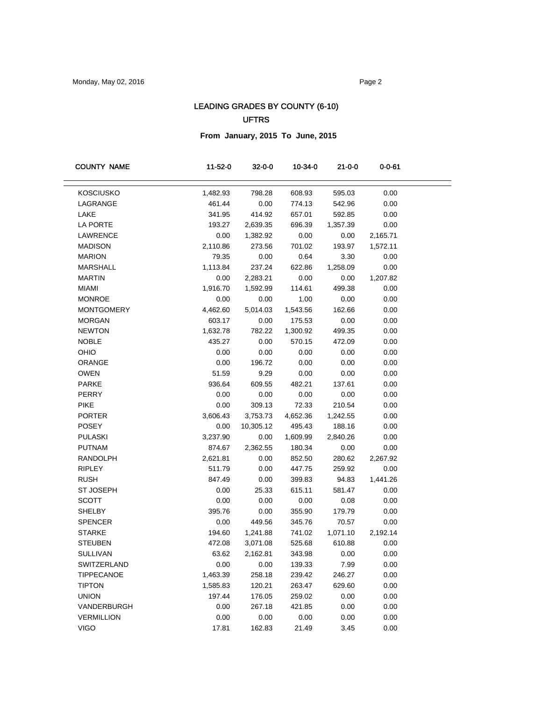## LEADING GRADES BY COUNTY (6-10) UFTRS

**From January, 2015 To June, 2015**

| $0 - 0 - 61$                                                            |
|-------------------------------------------------------------------------|
| <b>KOSCIUSKO</b><br>1,482.93<br>798.28<br>608.93<br>595.03<br>0.00      |
| LAGRANGE<br>461.44<br>0.00<br>774.13<br>542.96<br>0.00                  |
| LAKE<br>341.95<br>414.92<br>657.01<br>592.85<br>0.00                    |
| LA PORTE<br>193.27<br>2,639.35<br>696.39<br>0.00<br>1,357.39            |
| LAWRENCE<br>0.00<br>1,382.92<br>0.00<br>2,165.71<br>0.00                |
| 701.02<br><b>MADISON</b><br>2,110.86<br>273.56<br>193.97<br>1,572.11    |
| <b>MARION</b><br>79.35<br>0.00<br>0.64<br>3.30<br>0.00                  |
| MARSHALL<br>1,113.84<br>237.24<br>622.86<br>1,258.09<br>0.00            |
| <b>MARTIN</b><br>0.00<br>2,283.21<br>0.00<br>0.00<br>1,207.82           |
| <b>MIAMI</b><br>1,916.70<br>1,592.99<br>114.61<br>499.38<br>0.00        |
| <b>MONROE</b><br>0.00<br>0.00<br>1.00<br>0.00<br>0.00                   |
| <b>MONTGOMERY</b><br>4,462.60<br>5,014.03<br>1,543.56<br>162.66<br>0.00 |
| <b>MORGAN</b><br>603.17<br>0.00<br>175.53<br>0.00<br>0.00               |
| <b>NEWTON</b><br>1,632.78<br>782.22<br>1,300.92<br>499.35<br>0.00       |
| <b>NOBLE</b><br>435.27<br>0.00<br>570.15<br>472.09<br>0.00              |
| OHIO<br>0.00<br>0.00<br>0.00<br>0.00<br>0.00                            |
| ORANGE<br>0.00<br>196.72<br>0.00<br>0.00<br>0.00                        |
| <b>OWEN</b><br>51.59<br>9.29<br>0.00<br>0.00<br>0.00                    |
| PARKE<br>936.64<br>609.55<br>482.21<br>137.61<br>0.00                   |
| PERRY<br>0.00<br>0.00<br>0.00<br>0.00<br>0.00                           |
| <b>PIKE</b><br>0.00<br>309.13<br>72.33<br>210.54<br>0.00                |
| <b>PORTER</b><br>3,606.43<br>3,753.73<br>4,652.36<br>1,242.55<br>0.00   |
| POSEY<br>0.00<br>10,305.12<br>495.43<br>188.16<br>0.00                  |
| <b>PULASKI</b><br>3,237.90<br>0.00<br>1,609.99<br>2,840.26<br>0.00      |
| <b>PUTNAM</b><br>874.67<br>2,362.55<br>180.34<br>0.00<br>0.00           |
| <b>RANDOLPH</b><br>0.00<br>852.50<br>280.62<br>2,267.92<br>2,621.81     |
| <b>RIPLEY</b><br>511.79<br>0.00<br>447.75<br>259.92<br>0.00             |
| <b>RUSH</b><br>847.49<br>0.00<br>399.83<br>94.83<br>1,441.26            |
| <b>ST JOSEPH</b><br>0.00<br>25.33<br>615.11<br>581.47<br>0.00           |
| <b>SCOTT</b><br>0.00<br>0.00<br>0.00<br>0.00<br>0.08                    |
| <b>SHELBY</b><br>395.76<br>0.00<br>355.90<br>179.79<br>0.00             |
| <b>SPENCER</b><br>0.00<br>449.56<br>345.76<br>70.57<br>0.00             |
| <b>STARKE</b><br>194.60<br>741.02<br>1,071.10<br>2,192.14<br>1,241.88   |
| <b>STEUBEN</b><br>472.08<br>3,071.08<br>525.68<br>610.88<br>0.00        |
| <b>SULLIVAN</b><br>63.62<br>2,162.81<br>343.98<br>0.00<br>0.00          |
| SWITZERLAND<br>0.00<br>0.00<br>139.33<br>7.99<br>0.00                   |
| <b>TIPPECANOE</b><br>1,463.39<br>258.18<br>239.42<br>246.27<br>0.00     |
| <b>TIPTON</b><br>120.21<br>263.47<br>629.60<br>0.00<br>1,585.83         |
| <b>UNION</b><br>197.44<br>176.05<br>259.02<br>0.00<br>0.00              |
| VANDERBURGH<br>0.00<br>267.18<br>421.85<br>0.00<br>0.00                 |
| <b>VERMILLION</b><br>0.00<br>0.00<br>0.00<br>0.00<br>0.00               |
| <b>VIGO</b><br>17.81<br>162.83<br>21.49<br>3.45<br>0.00                 |